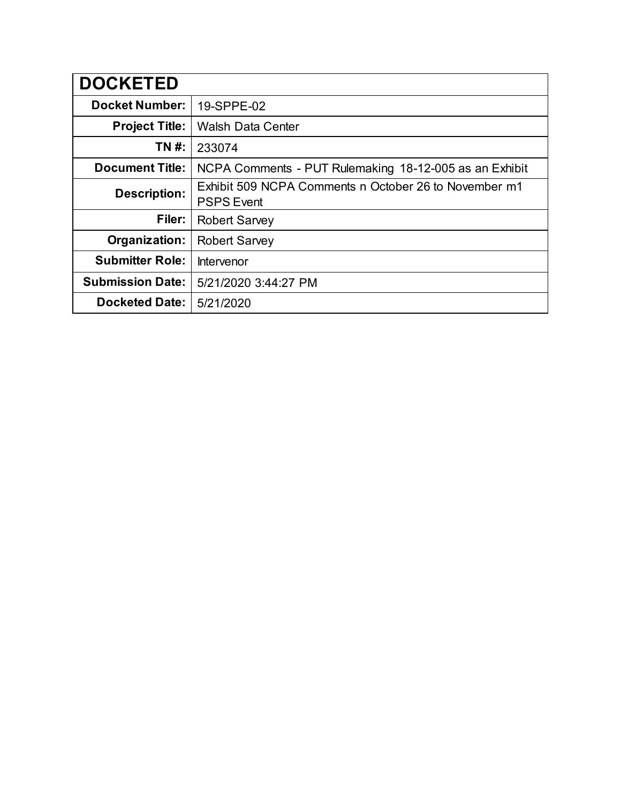| <b>DOCKETED</b>         |                                                                            |
|-------------------------|----------------------------------------------------------------------------|
| <b>Docket Number:</b>   | 19-SPPE-02                                                                 |
| <b>Project Title:</b>   | <b>Walsh Data Center</b>                                                   |
| TN #:                   | 233074                                                                     |
| <b>Document Title:</b>  | NCPA Comments - PUT Rulemaking 18-12-005 as an Exhibit                     |
| <b>Description:</b>     | Exhibit 509 NCPA Comments n October 26 to November m1<br><b>PSPS Event</b> |
| Filer:                  | <b>Robert Sarvey</b>                                                       |
| Organization:           | <b>Robert Sarvey</b>                                                       |
| <b>Submitter Role:</b>  | Intervenor                                                                 |
| <b>Submission Date:</b> | 5/21/2020 3:44:27 PM                                                       |
| <b>Docketed Date:</b>   | 5/21/2020                                                                  |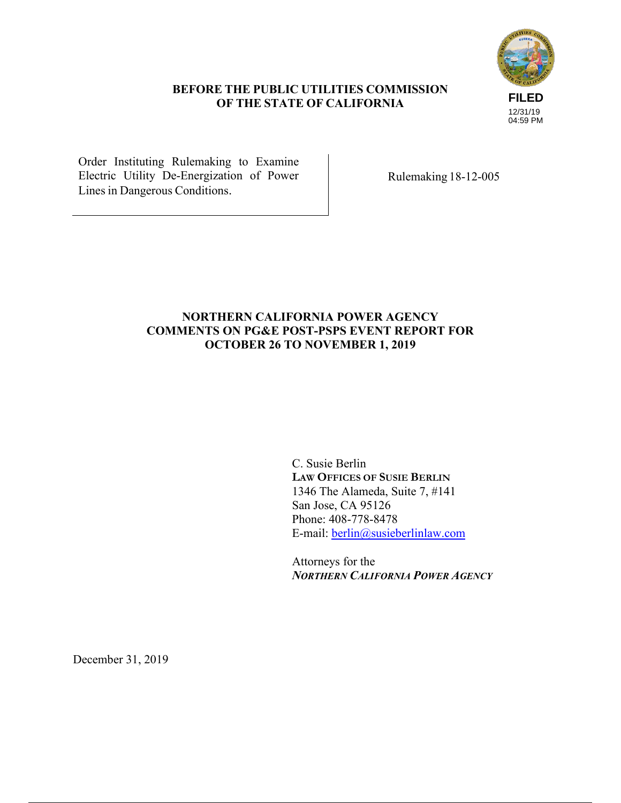# **FILED** 12/31/19 04:59 PM

# **BEFORE THE PUBLIC UTILITIES COMMISSION OF THE STATE OF CALIFORNIA**

Order Instituting Rulemaking to Examine Electric Utility De-Energization of Power Lines in Dangerous Conditions.

Rulemaking 18-12-005

# **NORTHERN CALIFORNIA POWER AGENCY COMMENTS ON PG&E POST-PSPS EVENT REPORT FOR OCTOBER 26 TO NOVEMBER 1, 2019**

C. Susie Berlin **LAW OFFICES OF SUSIE BERLIN** 1346 The Alameda, Suite 7, #141 San Jose, CA 95126 Phone: 408-778-8478 E-mail: berlin@susieberlinlaw.com

Attorneys for the *NORTHERN CALIFORNIA POWER AGENCY* 

December 31, 2019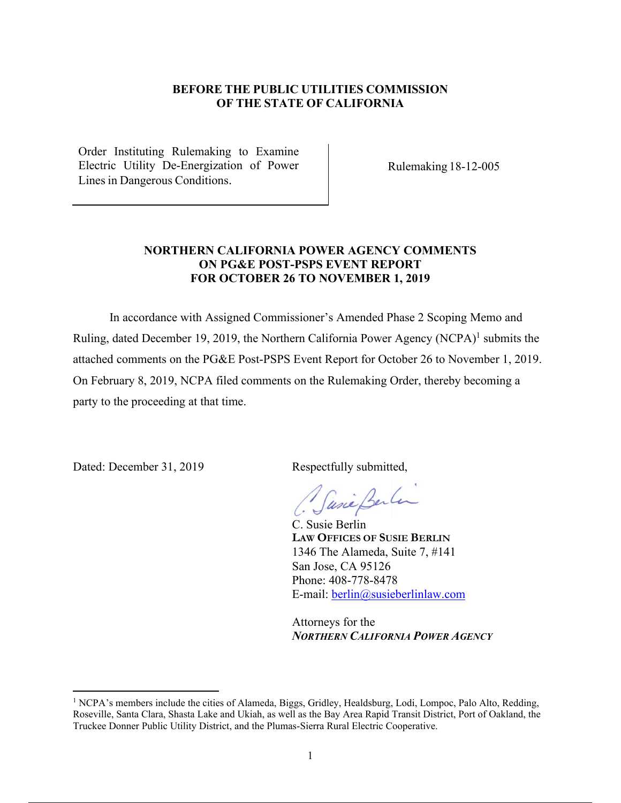## **BEFORE THE PUBLIC UTILITIES COMMISSION OF THE STATE OF CALIFORNIA**

Order Instituting Rulemaking to Examine Electric Utility De-Energization of Power Lines in Dangerous Conditions.

Rulemaking 18-12-005

## **NORTHERN CALIFORNIA POWER AGENCY COMMENTS ON PG&E POST-PSPS EVENT REPORT FOR OCTOBER 26 TO NOVEMBER 1, 2019**

In accordance with Assigned Commissioner's Amended Phase 2 Scoping Memo and Ruling, dated December 19, 2019, the Northern California Power Agency (NCPA)<sup>1</sup> submits the attached comments on the PG&E Post-PSPS Event Report for October 26 to November 1, 2019. On February 8, 2019, NCPA filed comments on the Rulemaking Order, thereby becoming a party to the proceeding at that time.

Dated: December 31, 2019 Respectfully submitted,

Casia Berlin

C. Susie Berlin **LAW OFFICES OF SUSIE BERLIN** 1346 The Alameda, Suite 7, #141 San Jose, CA 95126 Phone: 408-778-8478 E-mail: berlin@susieberlinlaw.com

Attorneys for the *NORTHERN CALIFORNIA POWER AGENCY* 

<sup>&</sup>lt;sup>1</sup> NCPA's members include the cities of Alameda, Biggs, Gridley, Healdsburg, Lodi, Lompoc, Palo Alto, Redding, Roseville, Santa Clara, Shasta Lake and Ukiah, as well as the Bay Area Rapid Transit District, Port of Oakland, the Truckee Donner Public Utility District, and the Plumas-Sierra Rural Electric Cooperative.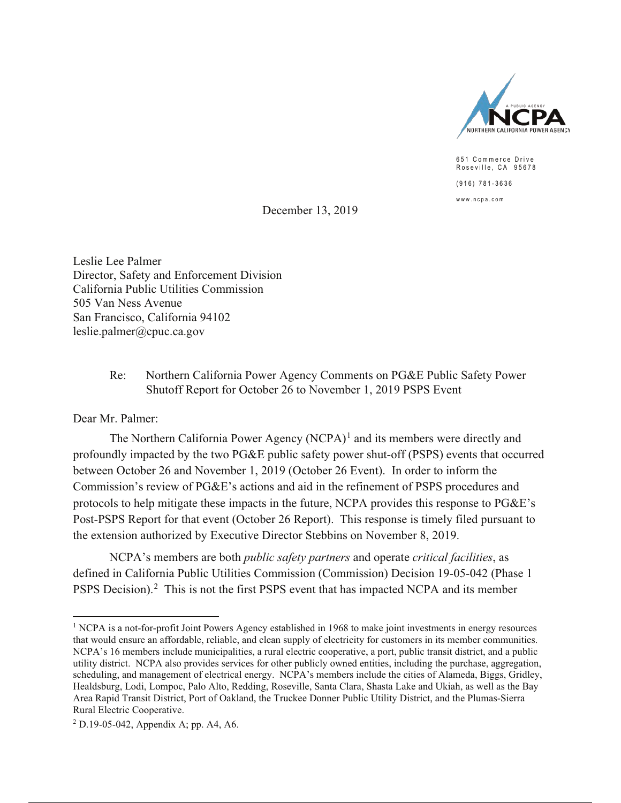

651 Commerce Drive Roseville, CA 95678  $(916) 781 - 3636$  $www.ncpa.com$ 

December 13, 2019

Leslie Lee Palmer Director, Safety and Enforcement Division California Public Utilities Commission 505 Van Ness Avenue San Francisco, California 94102  $leslie.palmer@cpuc.ca.gov$ 

> Re: Northern California Power Agency Comments on PG&E Public Safety Power Shutoff Report for October 26 to November 1, 2019 PSPS Event

Dear Mr. Palmer:

The Northern California Power Agency (NCPA)<sup>1</sup> and its members were directly and profoundly impacted by the two PG&E public safety power shut-off (PSPS) events that occurred between October 26 and November 1, 2019 (October 26 Event). In order to inform the Commission's review of  $PGEE$ 's actions and aid in the refinement of PSPS procedures and protocols to help mitigate these impacts in the future, NCPA provides this response to  $PGEE$ 's Post-PSPS Report for that event (October 26 Report). This response is timely filed pursuant to the extension authorized by Executive Director Stebbins on November 8, 2019.

NCPA's members are both *public safety partners* and operate *critical facilities*, as defined in California Public Utilities Commission (Commission) Decision 19-05-042 (Phase 1 PSPS Decision).<sup>2</sup> This is not the first PSPS event that has impacted NCPA and its member

<sup>&</sup>lt;sup>1</sup> NCPA is a not-for-profit Joint Powers Agency established in 1968 to make joint investments in energy resources that would ensure an affordable, reliable, and clean supply of electricity for customers in its member communities. NCPA's 16 members include municipalities, a rural electric cooperative, a port, public transit district, and a public utility district. NCPA also provides services for other publicly owned entities, including the purchase, aggregation, scheduling, and management of electrical energy. NCPA's members include the cities of Alameda, Biggs, Gridley, Healdsburg, Lodi, Lompoc, Palo Alto, Redding, Roseville, Santa Clara, Shasta Lake and Ukiah, as well as the Bay Area Rapid Transit District, Port of Oakland, the Truckee Donner Public Utility District, and the Plumas-Sierra Rural Electric Cooperative.

 $2$  D.19-05-042, Appendix A; pp. A4, A6.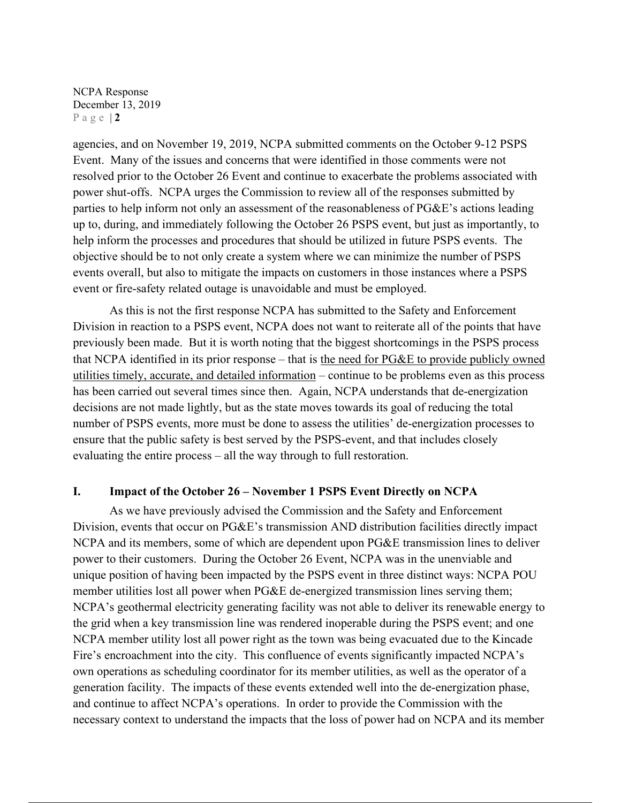agencies, and on November 19, 2019, NCPA submitted comments on the October 9-12 PSPS Event. Many of the issues and concerns that were identified in those comments were not resolved prior to the October 26 Event and continue to exacerbate the problems associated with power shut-offs. NCPA urges the Commission to review all of the responses submitted by parties to help inform not only an assessment of the reasonableness of PG&E's actions leading up to, during, and immediately following the October 26 PSPS event, but just as importantly, to help inform the processes and procedures that should be utilized in future PSPS events. The objective should be to not only create a system where we can minimize the number of PSPS events overall, but also to mitigate the impacts on customers in those instances where a PSPS event or fire-safety related outage is unavoidable and must be employed.

As this is not the first response NCPA has submitted to the Safety and Enforcement Division in reaction to a PSPS event, NCPA does not want to reiterate all of the points that have previously been made. But it is worth noting that the biggest shortcomings in the PSPS process that NCPA identified in its prior response – that is the need for PG&E to provide publicly owned utilities timely, accurate, and detailed information – continue to be problems even as this process has been carried out several times since then. Again, NCPA understands that de-energization decisions are not made lightly, but as the state moves towards its goal of reducing the total number of PSPS events, more must be done to assess the utilities' de-energization processes to ensure that the public safety is best served by the PSPS-event, and that includes closely evaluating the entire process – all the way through to full restoration.

#### **I. Impact of the October 26 – November 1 PSPS Event Directly on NCPA**

As we have previously advised the Commission and the Safety and Enforcement Division, events that occur on PG&E's transmission AND distribution facilities directly impact NCPA and its members, some of which are dependent upon PG&E transmission lines to deliver power to their customers. During the October 26 Event, NCPA was in the unenviable and unique position of having been impacted by the PSPS event in three distinct ways: NCPA POU member utilities lost all power when PG&E de-energized transmission lines serving them; NCPA's geothermal electricity generating facility was not able to deliver its renewable energy to the grid when a key transmission line was rendered inoperable during the PSPS event; and one NCPA member utility lost all power right as the town was being evacuated due to the Kincade Fire's encroachment into the city. This confluence of events significantly impacted NCPA's own operations as scheduling coordinator for its member utilities, as well as the operator of a generation facility. The impacts of these events extended well into the de-energization phase, and continue to affect NCPA's operations. In order to provide the Commission with the necessary context to understand the impacts that the loss of power had on NCPA and its member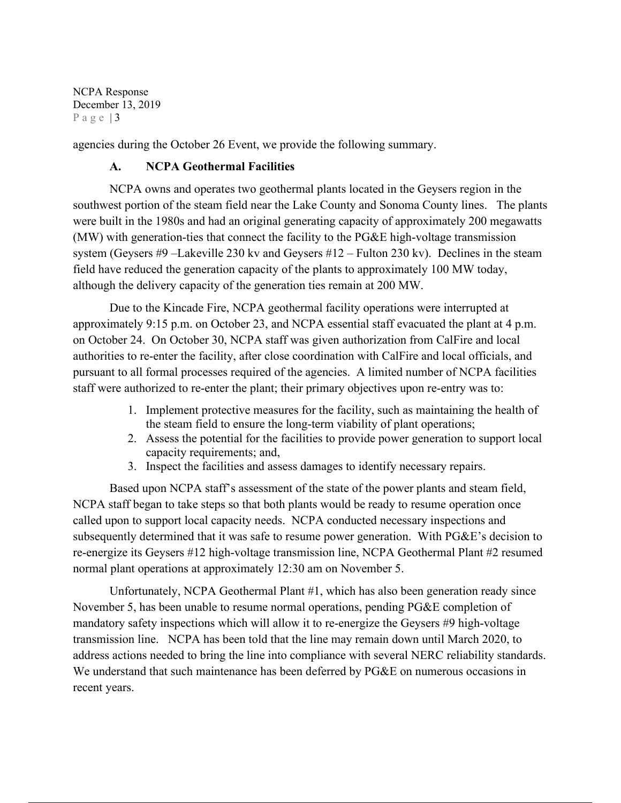agencies during the October 26 Event, we provide the following summary.

# **A. NCPA Geothermal Facilities**

NCPA owns and operates two geothermal plants located in the Geysers region in the southwest portion of the steam field near the Lake County and Sonoma County lines. The plants were built in the 1980s and had an original generating capacity of approximately 200 megawatts (MW) with generation-ties that connect the facility to the PG&E high-voltage transmission system (Geysers #9 –Lakeville 230 kv and Geysers #12 – Fulton 230 kv). Declines in the steam field have reduced the generation capacity of the plants to approximately 100 MW today, although the delivery capacity of the generation ties remain at 200 MW.

Due to the Kincade Fire, NCPA geothermal facility operations were interrupted at approximately 9:15 p.m. on October 23, and NCPA essential staff evacuated the plant at 4 p.m. on October 24. On October 30, NCPA staff was given authorization from CalFire and local authorities to re-enter the facility, after close coordination with CalFire and local officials, and pursuant to all formal processes required of the agencies. A limited number of NCPA facilities staff were authorized to re-enter the plant; their primary objectives upon re-entry was to:

- 1. Implement protective measures for the facility, such as maintaining the health of the steam field to ensure the long-term viability of plant operations;
- 2. Assess the potential for the facilities to provide power generation to support local capacity requirements; and,
- 3. Inspect the facilities and assess damages to identify necessary repairs.

Based upon NCPA staff's assessment of the state of the power plants and steam field, NCPA staff began to take steps so that both plants would be ready to resume operation once called upon to support local capacity needs.NCPA conducted necessary inspections and subsequently determined that it was safe to resume power generation. With PG&E's decision to re-energize its Geysers #12 high-voltage transmission line, NCPA Geothermal Plant #2 resumed normal plant operations at approximately 12:30 am on November 5.

Unfortunately, NCPA Geothermal Plant #1, which has also been generation ready since November 5, has been unable to resume normal operations, pending PG&E completion of mandatory safety inspections which will allow it to re-energize the Geysers #9 high-voltage transmission line. NCPA has been told that the line may remain down until March 2020, to address actions needed to bring the line into compliance with several NERC reliability standards. We understand that such maintenance has been deferred by PG&E on numerous occasions in recent years.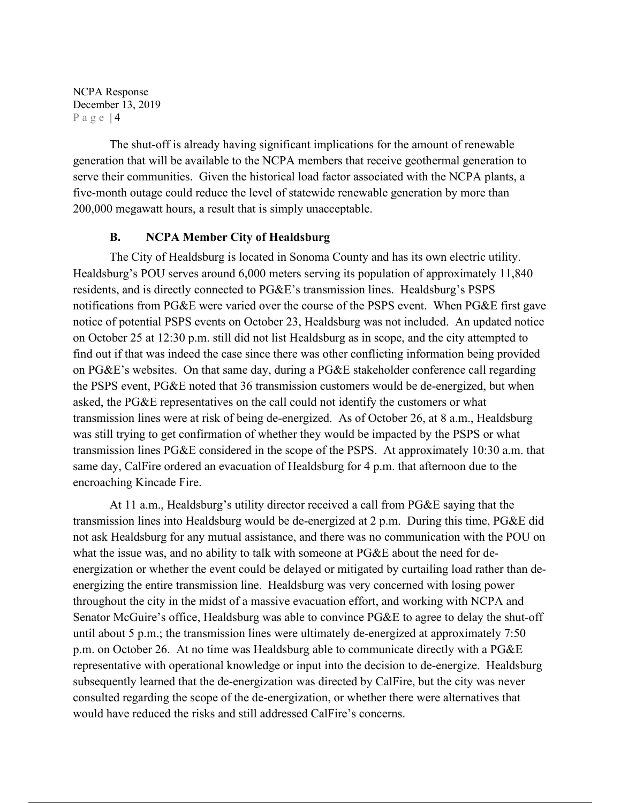The shut-off is already having significant implications for the amount of renewable generation that will be available to the NCPA members that receive geothermal generation to serve their communities. Given the historical load factor associated with the NCPA plants, a five-month outage could reduce the level of statewide renewable generation by more than 200,000 megawatt hours, a result that is simply unacceptable.

## **B. NCPA Member City of Healdsburg**

The City of Healdsburg is located in Sonoma County and has its own electric utility. Healdsburg's POU serves around 6,000 meters serving its population of approximately 11,840 residents, and is directly connected to PG&E's transmission lines. Healdsburg's PSPS notifications from PG&E were varied over the course of the PSPS event. When PG&E first gave notice of potential PSPS events on October 23, Healdsburg was not included. An updated notice on October 25 at 12:30 p.m. still did not list Healdsburg as in scope, and the city attempted to find out if that was indeed the case since there was other conflicting information being provided on PG&E's websites. On that same day, during a PG&E stakeholder conference call regarding the PSPS event, PG&E noted that 36 transmission customers would be de-energized, but when asked, the PG&E representatives on the call could not identify the customers or what transmission lines were at risk of being de-energized. As of October 26, at 8 a.m., Healdsburg was still trying to get confirmation of whether they would be impacted by the PSPS or what transmission lines PG&E considered in the scope of the PSPS. At approximately 10:30 a.m. that same day, CalFire ordered an evacuation of Healdsburg for 4 p.m. that afternoon due to the encroaching Kincade Fire.

At 11 a.m., Healdsburg's utility director received a call from PG&E saying that the transmission lines into Healdsburg would be de-energized at 2 p.m. During this time, PG&E did not ask Healdsburg for any mutual assistance, and there was no communication with the POU on what the issue was, and no ability to talk with someone at PG&E about the need for deenergization or whether the event could be delayed or mitigated by curtailing load rather than deenergizing the entire transmission line. Healdsburg was very concerned with losing power throughout the city in the midst of a massive evacuation effort, and working with NCPA and Senator McGuire's office, Healdsburg was able to convince PG&E to agree to delay the shut-off until about 5 p.m.; the transmission lines were ultimately de-energized at approximately 7:50 p.m. on October 26. At no time was Healdsburg able to communicate directly with a PG&E representative with operational knowledge or input into the decision to de-energize. Healdsburg subsequently learned that the de-energization was directed by CalFire, but the city was never consulted regarding the scope of the de-energization, or whether there were alternatives that would have reduced the risks and still addressed CalFire's concerns.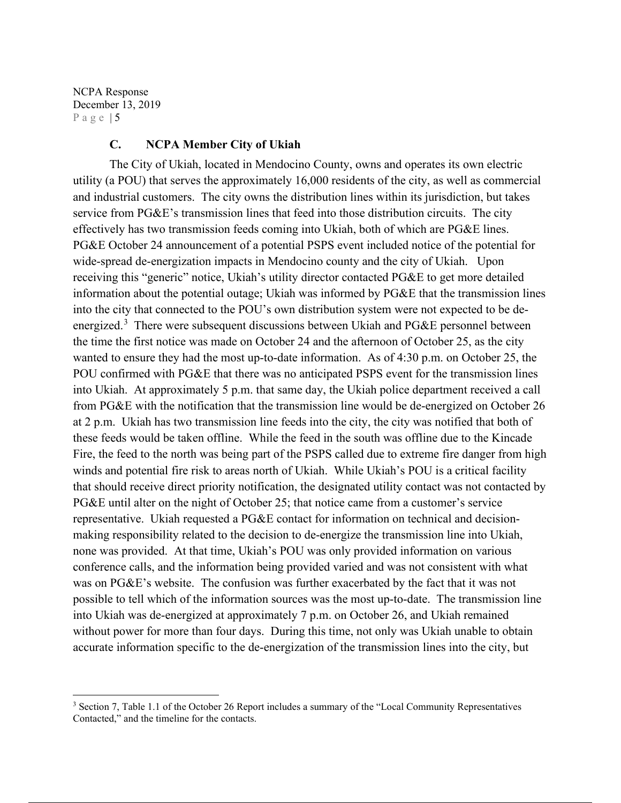#### **C. NCPA Member City of Ukiah**

The City of Ukiah, located in Mendocino County, owns and operates its own electric utility (a POU) that serves the approximately 16,000 residents of the city, as well as commercial and industrial customers. The city owns the distribution lines within its jurisdiction, but takes service from PG&E's transmission lines that feed into those distribution circuits. The city effectively has two transmission feeds coming into Ukiah, both of which are PG&E lines. PG&E October 24 announcement of a potential PSPS event included notice of the potential for wide-spread de-energization impacts in Mendocino county and the city of Ukiah. Upon receiving this "generic" notice, Ukiah's utility director contacted PG&E to get more detailed information about the potential outage; Ukiah was informed by PG&E that the transmission lines into the city that connected to the POU's own distribution system were not expected to be deenergized.<sup>3</sup> There were subsequent discussions between Ukiah and PG&E personnel between the time the first notice was made on October 24 and the afternoon of October 25, as the city wanted to ensure they had the most up-to-date information. As of 4:30 p.m. on October 25, the POU confirmed with PG&E that there was no anticipated PSPS event for the transmission lines into Ukiah. At approximately 5 p.m. that same day, the Ukiah police department received a call from PG&E with the notification that the transmission line would be de-energized on October 26 at 2 p.m. Ukiah has two transmission line feeds into the city, the city was notified that both of these feeds would be taken offline. While the feed in the south was offline due to the Kincade Fire, the feed to the north was being part of the PSPS called due to extreme fire danger from high winds and potential fire risk to areas north of Ukiah. While Ukiah's POU is a critical facility that should receive direct priority notification, the designated utility contact was not contacted by PG&E until alter on the night of October 25; that notice came from a customer's service representative. Ukiah requested a PG&E contact for information on technical and decisionmaking responsibility related to the decision to de-energize the transmission line into Ukiah, none was provided. At that time, Ukiah's POU was only provided information on various conference calls, and the information being provided varied and was not consistent with what was on PG&E's website. The confusion was further exacerbated by the fact that it was not possible to tell which of the information sources was the most up-to-date. The transmission line into Ukiah was de-energized at approximately 7 p.m. on October 26, and Ukiah remained without power for more than four days. During this time, not only was Ukiah unable to obtain accurate information specific to the de-energization of the transmission lines into the city, but

<sup>&</sup>lt;sup>3</sup> Section 7, Table 1.1 of the October 26 Report includes a summary of the "Local Community Representatives Contacted," and the timeline for the contacts.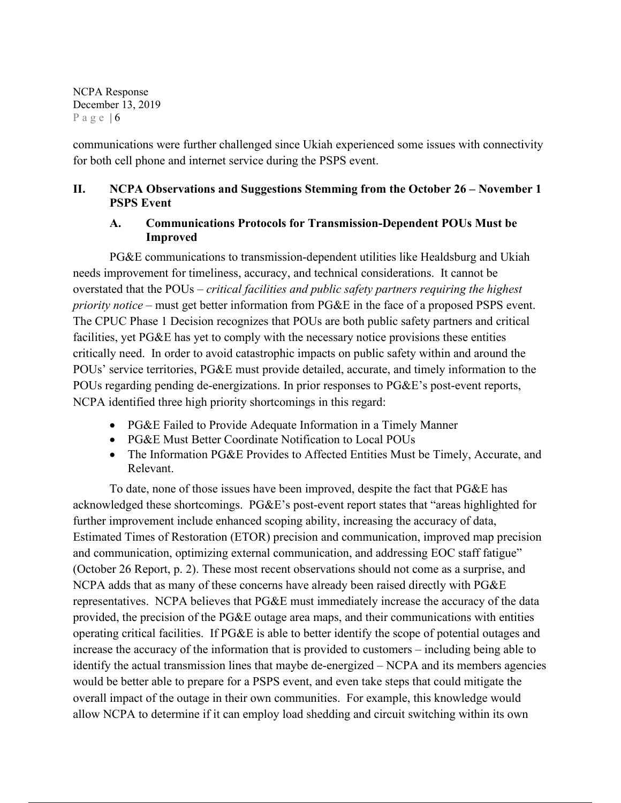communications were further challenged since Ukiah experienced some issues with connectivity for both cell phone and internet service during the PSPS event.

# **II. NCPA Observations and Suggestions Stemming from the October 26 – November 1 PSPS Event**

# **A. Communications Protocols for Transmission-Dependent POUs Must be Improved**

PG&E communications to transmission-dependent utilities like Healdsburg and Ukiah needs improvement for timeliness, accuracy, and technical considerations. It cannot be overstated that the POUs – *critical facilities and public safety partners requiring the highest priority notice* – must get better information from PG&E in the face of a proposed PSPS event. The CPUC Phase 1 Decision recognizes that POUs are both public safety partners and critical facilities, yet PG&E has yet to comply with the necessary notice provisions these entities critically need. In order to avoid catastrophic impacts on public safety within and around the POUs' service territories, PG&E must provide detailed, accurate, and timely information to the POUs regarding pending de-energizations. In prior responses to PG&E's post-event reports, NCPA identified three high priority shortcomings in this regard:

- PG&E Failed to Provide Adequate Information in a Timely Manner
- PG&E Must Better Coordinate Notification to Local POUs
- The Information PG&E Provides to Affected Entities Must be Timely, Accurate, and Relevant.

To date, none of those issues have been improved, despite the fact that PG&E has acknowledged these shortcomings. PG&E's post-event report states that "areas highlighted for further improvement include enhanced scoping ability, increasing the accuracy of data, Estimated Times of Restoration (ETOR) precision and communication, improved map precision and communication, optimizing external communication, and addressing EOC staff fatigue" (October 26 Report, p. 2). These most recent observations should not come as a surprise, and NCPA adds that as many of these concerns have already been raised directly with PG&E representatives. NCPA believes that PG&E must immediately increase the accuracy of the data provided, the precision of the PG&E outage area maps, and their communications with entities operating critical facilities. If PG&E is able to better identify the scope of potential outages and increase the accuracy of the information that is provided to customers – including being able to identify the actual transmission lines that maybe de-energized – NCPA and its members agencies would be better able to prepare for a PSPS event, and even take steps that could mitigate the overall impact of the outage in their own communities. For example, this knowledge would allow NCPA to determine if it can employ load shedding and circuit switching within its own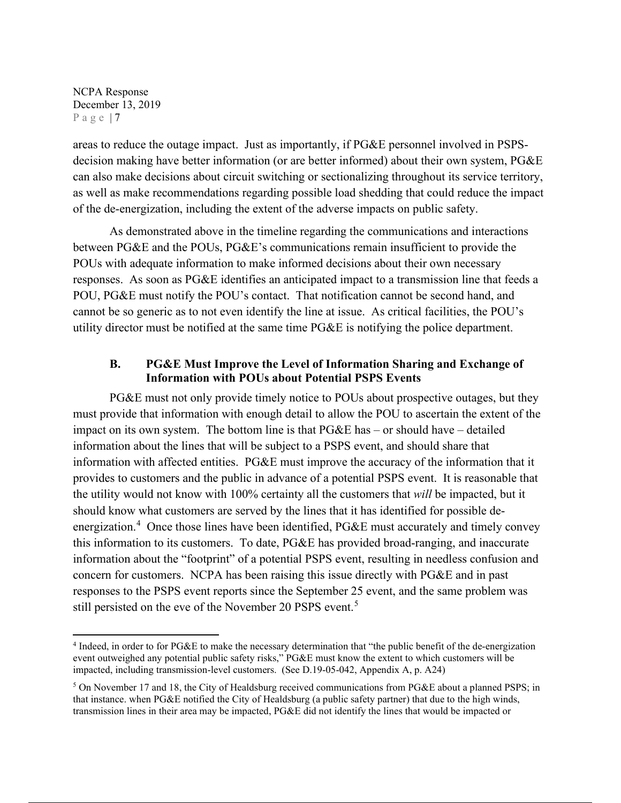areas to reduce the outage impact. Just as importantly, if PG&E personnel involved in PSPSdecision making have better information (or are better informed) about their own system, PG&E can also make decisions about circuit switching or sectionalizing throughout its service territory, as well as make recommendations regarding possible load shedding that could reduce the impact of the de-energization, including the extent of the adverse impacts on public safety.

 As demonstrated above in the timeline regarding the communications and interactions between PG&E and the POUs, PG&E's communications remain insufficient to provide the POUs with adequate information to make informed decisions about their own necessary responses. As soon as PG&E identifies an anticipated impact to a transmission line that feeds a POU, PG&E must notify the POU's contact. That notification cannot be second hand, and cannot be so generic as to not even identify the line at issue. As critical facilities, the POU's utility director must be notified at the same time PG&E is notifying the police department.

## **B. PG&E Must Improve the Level of Information Sharing and Exchange of Information with POUs about Potential PSPS Events**

PG&E must not only provide timely notice to POUs about prospective outages, but they must provide that information with enough detail to allow the POU to ascertain the extent of the impact on its own system. The bottom line is that  $PGEE$  has – or should have – detailed information about the lines that will be subject to a PSPS event, and should share that information with affected entities. PG&E must improve the accuracy of the information that it provides to customers and the public in advance of a potential PSPS event. It is reasonable that the utility would not know with 100% certainty all the customers that *will* be impacted, but it should know what customers are served by the lines that it has identified for possible deenergization.<sup>4</sup> Once those lines have been identified, PG&E must accurately and timely convey this information to its customers. To date, PG&E has provided broad-ranging, and inaccurate information about the "footprint" of a potential PSPS event, resulting in needless confusion and concern for customers. NCPA has been raising this issue directly with PG&E and in past responses to the PSPS event reports since the September 25 event, and the same problem was still persisted on the eve of the November 20 PSPS event.<sup>5</sup>

<sup>4</sup> Indeed, in order to for PG&E to make the necessary determination that "the public benefit of the de-energization event outweighed any potential public safety risks," PG&E must know the extent to which customers will be impacted, including transmission-level customers. (See D.19-05-042, Appendix A, p. A24)

<sup>&</sup>lt;sup>5</sup> On November 17 and 18, the City of Healdsburg received communications from PG&E about a planned PSPS; in that instance. when PG&E notified the City of Healdsburg (a public safety partner) that due to the high winds, transmission lines in their area may be impacted, PG&E did not identify the lines that would be impacted or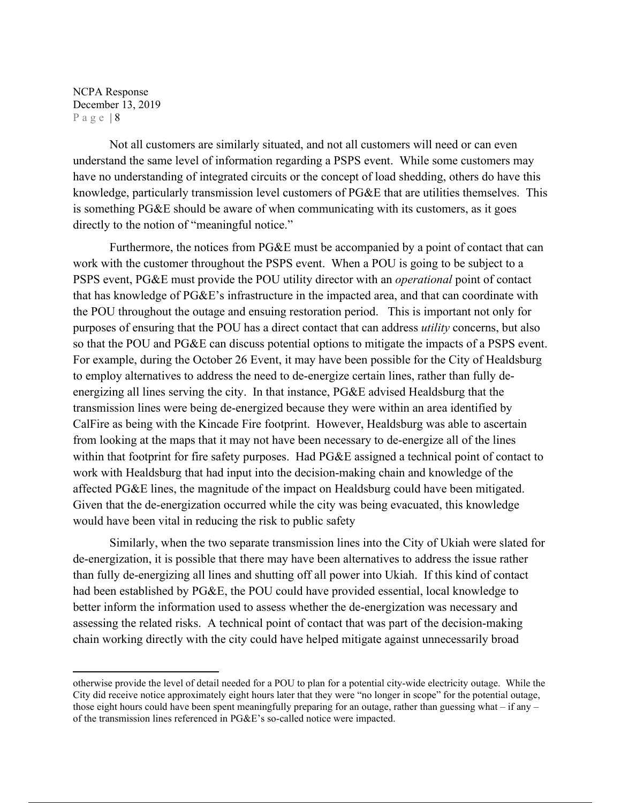Not all customers are similarly situated, and not all customers will need or can even understand the same level of information regarding a PSPS event. While some customers may have no understanding of integrated circuits or the concept of load shedding, others do have this knowledge, particularly transmission level customers of PG&E that are utilities themselves. This is something PG&E should be aware of when communicating with its customers, as it goes directly to the notion of "meaningful notice."

Furthermore, the notices from PG&E must be accompanied by a point of contact that can work with the customer throughout the PSPS event. When a POU is going to be subject to a PSPS event, PG&E must provide the POU utility director with an *operational* point of contact that has knowledge of PG&E's infrastructure in the impacted area, and that can coordinate with the POU throughout the outage and ensuing restoration period. This is important not only for purposes of ensuring that the POU has a direct contact that can address *utility* concerns, but also so that the POU and PG&E can discuss potential options to mitigate the impacts of a PSPS event. For example, during the October 26 Event, it may have been possible for the City of Healdsburg to employ alternatives to address the need to de-energize certain lines, rather than fully deenergizing all lines serving the city. In that instance, PG&E advised Healdsburg that the transmission lines were being de-energized because they were within an area identified by CalFire as being with the Kincade Fire footprint. However, Healdsburg was able to ascertain from looking at the maps that it may not have been necessary to de-energize all of the lines within that footprint for fire safety purposes. Had PG&E assigned a technical point of contact to work with Healdsburg that had input into the decision-making chain and knowledge of the affected PG&E lines, the magnitude of the impact on Healdsburg could have been mitigated. Given that the de-energization occurred while the city was being evacuated, this knowledge would have been vital in reducing the risk to public safety

Similarly, when the two separate transmission lines into the City of Ukiah were slated for de-energization, it is possible that there may have been alternatives to address the issue rather than fully de-energizing all lines and shutting off all power into Ukiah. If this kind of contact had been established by PG&E, the POU could have provided essential, local knowledge to better inform the information used to assess whether the de-energization was necessary and assessing the related risks. A technical point of contact that was part of the decision-making chain working directly with the city could have helped mitigate against unnecessarily broad

otherwise provide the level of detail needed for a POU to plan for a potential city-wide electricity outage. While the City did receive notice approximately eight hours later that they were "no longer in scope" for the potential outage, those eight hours could have been spent meaningfully preparing for an outage, rather than guessing what – if any – of the transmission lines referenced in PG&E's so-called notice were impacted.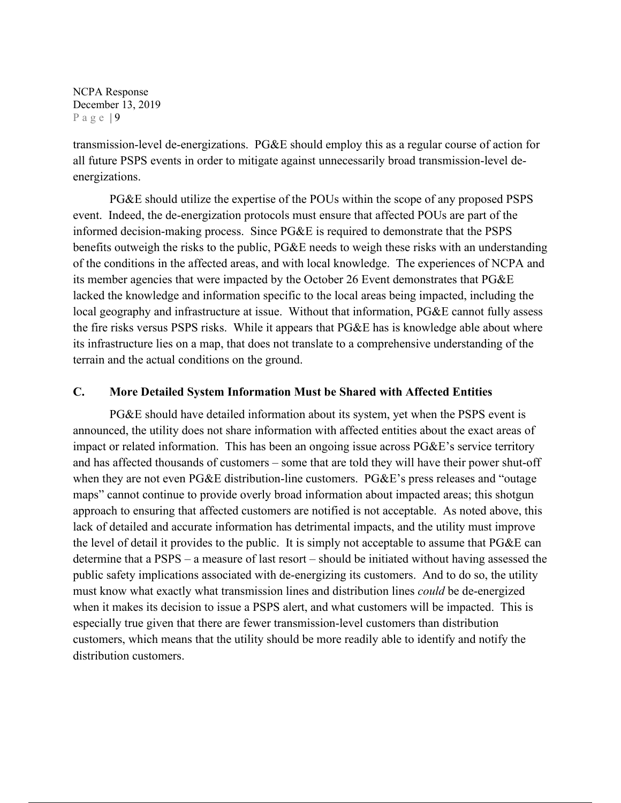transmission-level de-energizations. PG&E should employ this as a regular course of action for all future PSPS events in order to mitigate against unnecessarily broad transmission-level deenergizations.

PG&E should utilize the expertise of the POUs within the scope of any proposed PSPS event. Indeed, the de-energization protocols must ensure that affected POUs are part of the informed decision-making process. Since PG&E is required to demonstrate that the PSPS benefits outweigh the risks to the public, PG&E needs to weigh these risks with an understanding of the conditions in the affected areas, and with local knowledge. The experiences of NCPA and its member agencies that were impacted by the October 26 Event demonstrates that PG&E lacked the knowledge and information specific to the local areas being impacted, including the local geography and infrastructure at issue. Without that information, PG&E cannot fully assess the fire risks versus PSPS risks. While it appears that PG&E has is knowledge able about where its infrastructure lies on a map, that does not translate to a comprehensive understanding of the terrain and the actual conditions on the ground.

### **C. More Detailed System Information Must be Shared with Affected Entities**

PG&E should have detailed information about its system, yet when the PSPS event is announced, the utility does not share information with affected entities about the exact areas of impact or related information. This has been an ongoing issue across PG&E's service territory and has affected thousands of customers – some that are told they will have their power shut-off when they are not even PG&E distribution-line customers. PG&E's press releases and "outage" maps" cannot continue to provide overly broad information about impacted areas; this shotgun approach to ensuring that affected customers are notified is not acceptable. As noted above, this lack of detailed and accurate information has detrimental impacts, and the utility must improve the level of detail it provides to the public. It is simply not acceptable to assume that PG&E can determine that a PSPS – a measure of last resort – should be initiated without having assessed the public safety implications associated with de-energizing its customers. And to do so, the utility must know what exactly what transmission lines and distribution lines *could* be de-energized when it makes its decision to issue a PSPS alert, and what customers will be impacted. This is especially true given that there are fewer transmission-level customers than distribution customers, which means that the utility should be more readily able to identify and notify the distribution customers.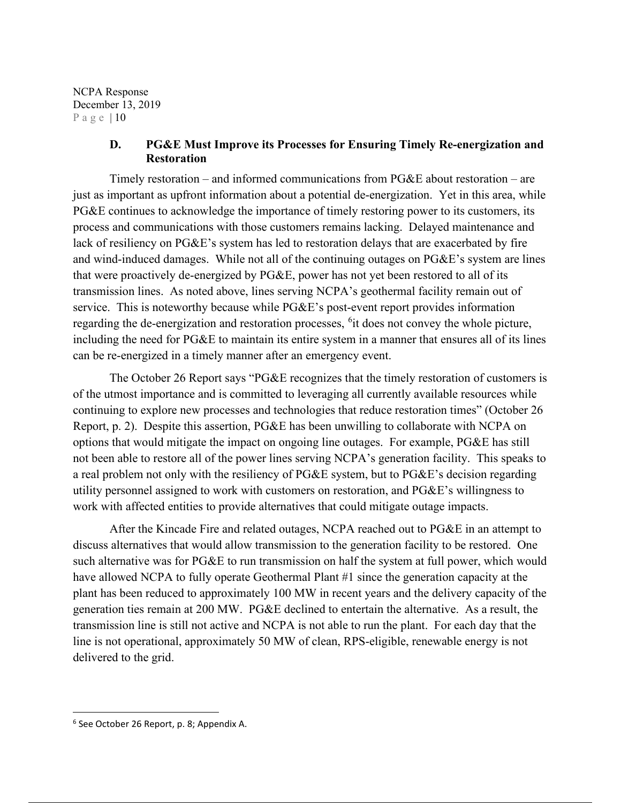## **D. PG&E Must Improve its Processes for Ensuring Timely Re-energization and Restoration**

Timely restoration – and informed communications from PG&E about restoration – are just as important as upfront information about a potential de-energization. Yet in this area, while PG&E continues to acknowledge the importance of timely restoring power to its customers, its process and communications with those customers remains lacking. Delayed maintenance and lack of resiliency on PG&E's system has led to restoration delays that are exacerbated by fire and wind-induced damages. While not all of the continuing outages on PG&E's system are lines that were proactively de-energized by PG&E, power has not yet been restored to all of its transmission lines. As noted above, lines serving NCPA's geothermal facility remain out of service. This is noteworthy because while PG&E's post-event report provides information regarding the de-energization and restoration processes, <sup>6</sup>it does not convey the whole picture, including the need for PG&E to maintain its entire system in a manner that ensures all of its lines can be re-energized in a timely manner after an emergency event.

 The October 26 Report says "PG&E recognizes that the timely restoration of customers is of the utmost importance and is committed to leveraging all currently available resources while continuing to explore new processes and technologies that reduce restoration times" (October 26 Report, p. 2). Despite this assertion, PG&E has been unwilling to collaborate with NCPA on options that would mitigate the impact on ongoing line outages. For example, PG&E has still not been able to restore all of the power lines serving NCPA's generation facility. This speaks to a real problem not only with the resiliency of PG&E system, but to PG&E's decision regarding utility personnel assigned to work with customers on restoration, and PG&E's willingness to work with affected entities to provide alternatives that could mitigate outage impacts.

After the Kincade Fire and related outages, NCPA reached out to PG&E in an attempt to discuss alternatives that would allow transmission to the generation facility to be restored. One such alternative was for PG&E to run transmission on half the system at full power, which would have allowed NCPA to fully operate Geothermal Plant #1 since the generation capacity at the plant has been reduced to approximately 100 MW in recent years and the delivery capacity of the generation ties remain at 200 MW. PG&E declined to entertain the alternative. As a result, the transmission line is still not active and NCPA is not able to run the plant. For each day that the line is not operational, approximately 50 MW of clean, RPS-eligible, renewable energy is not delivered to the grid.

<sup>6</sup> See October 26 Report, p. 8; Appendix A.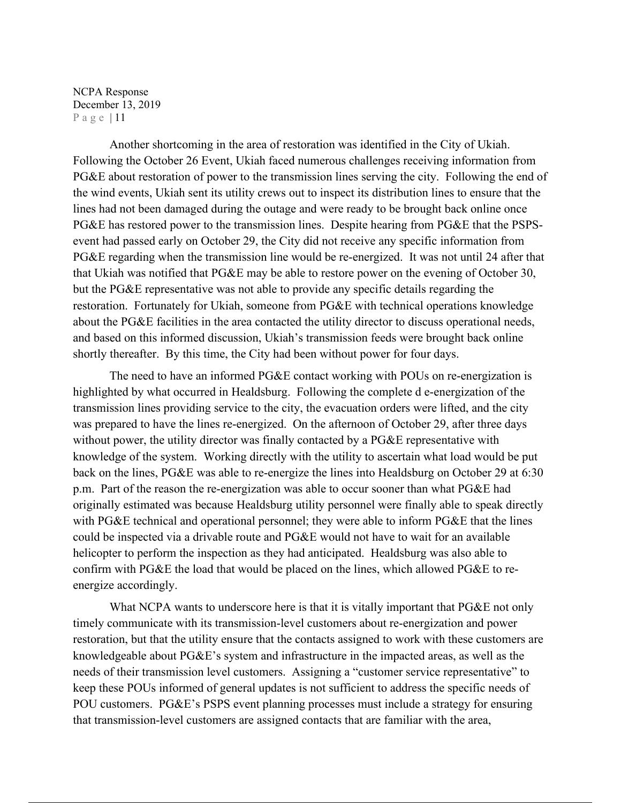Another shortcoming in the area of restoration was identified in the City of Ukiah. Following the October 26 Event, Ukiah faced numerous challenges receiving information from PG&E about restoration of power to the transmission lines serving the city. Following the end of the wind events, Ukiah sent its utility crews out to inspect its distribution lines to ensure that the lines had not been damaged during the outage and were ready to be brought back online once PG&E has restored power to the transmission lines. Despite hearing from PG&E that the PSPSevent had passed early on October 29, the City did not receive any specific information from PG&E regarding when the transmission line would be re-energized. It was not until 24 after that that Ukiah was notified that PG&E may be able to restore power on the evening of October 30, but the PG&E representative was not able to provide any specific details regarding the restoration. Fortunately for Ukiah, someone from PG&E with technical operations knowledge about the PG&E facilities in the area contacted the utility director to discuss operational needs, and based on this informed discussion, Ukiah's transmission feeds were brought back online shortly thereafter. By this time, the City had been without power for four days.

The need to have an informed PG&E contact working with POUs on re-energization is highlighted by what occurred in Healdsburg. Following the complete d e-energization of the transmission lines providing service to the city, the evacuation orders were lifted, and the city was prepared to have the lines re-energized. On the afternoon of October 29, after three days without power, the utility director was finally contacted by a PG&E representative with knowledge of the system. Working directly with the utility to ascertain what load would be put back on the lines, PG&E was able to re-energize the lines into Healdsburg on October 29 at 6:30 p.m. Part of the reason the re-energization was able to occur sooner than what PG&E had originally estimated was because Healdsburg utility personnel were finally able to speak directly with PG&E technical and operational personnel; they were able to inform PG&E that the lines could be inspected via a drivable route and PG&E would not have to wait for an available helicopter to perform the inspection as they had anticipated. Healdsburg was also able to confirm with PG&E the load that would be placed on the lines, which allowed PG&E to reenergize accordingly.

What NCPA wants to underscore here is that it is vitally important that PG&E not only timely communicate with its transmission-level customers about re-energization and power restoration, but that the utility ensure that the contacts assigned to work with these customers are knowledgeable about PG&E's system and infrastructure in the impacted areas, as well as the needs of their transmission level customers. Assigning a "customer service representative" to keep these POUs informed of general updates is not sufficient to address the specific needs of POU customers. PG&E's PSPS event planning processes must include a strategy for ensuring that transmission-level customers are assigned contacts that are familiar with the area,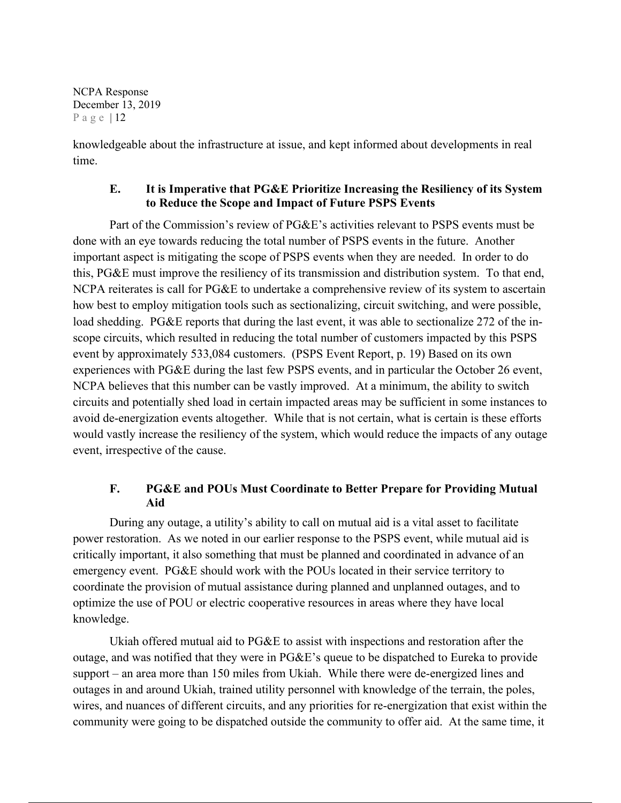knowledgeable about the infrastructure at issue, and kept informed about developments in real time.

# **E. It is Imperative that PG&E Prioritize Increasing the Resiliency of its System to Reduce the Scope and Impact of Future PSPS Events**

Part of the Commission's review of PG&E's activities relevant to PSPS events must be done with an eye towards reducing the total number of PSPS events in the future. Another important aspect is mitigating the scope of PSPS events when they are needed. In order to do this, PG&E must improve the resiliency of its transmission and distribution system. To that end, NCPA reiterates is call for PG&E to undertake a comprehensive review of its system to ascertain how best to employ mitigation tools such as sectionalizing, circuit switching, and were possible, load shedding. PG&E reports that during the last event, it was able to sectionalize 272 of the inscope circuits, which resulted in reducing the total number of customers impacted by this PSPS event by approximately 533,084 customers. (PSPS Event Report, p. 19) Based on its own experiences with PG&E during the last few PSPS events, and in particular the October 26 event, NCPA believes that this number can be vastly improved. At a minimum, the ability to switch circuits and potentially shed load in certain impacted areas may be sufficient in some instances to avoid de-energization events altogether. While that is not certain, what is certain is these efforts would vastly increase the resiliency of the system, which would reduce the impacts of any outage event, irrespective of the cause.

# **F. PG&E and POUs Must Coordinate to Better Prepare for Providing Mutual Aid**

During any outage, a utility's ability to call on mutual aid is a vital asset to facilitate power restoration. As we noted in our earlier response to the PSPS event, while mutual aid is critically important, it also something that must be planned and coordinated in advance of an emergency event. PG&E should work with the POUs located in their service territory to coordinate the provision of mutual assistance during planned and unplanned outages, and to optimize the use of POU or electric cooperative resources in areas where they have local knowledge.

Ukiah offered mutual aid to PG&E to assist with inspections and restoration after the outage, and was notified that they were in PG&E's queue to be dispatched to Eureka to provide support – an area more than 150 miles from Ukiah. While there were de-energized lines and outages in and around Ukiah, trained utility personnel with knowledge of the terrain, the poles, wires, and nuances of different circuits, and any priorities for re-energization that exist within the community were going to be dispatched outside the community to offer aid. At the same time, it